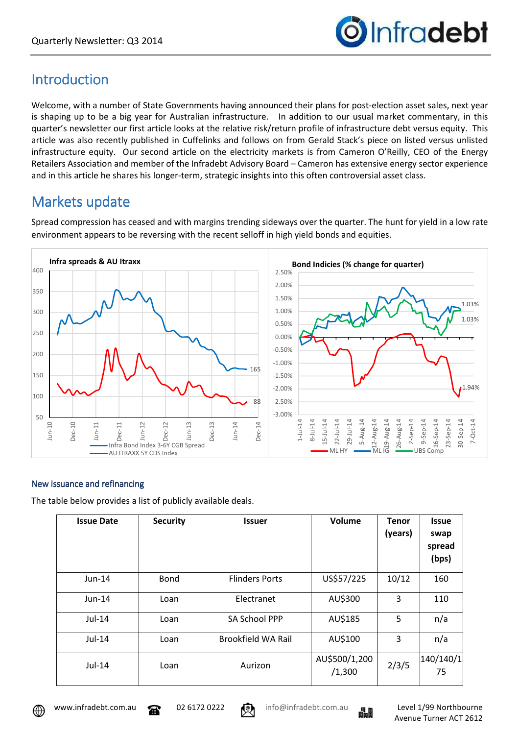

## Introduction

Welcome, with a number of State Governments having announced their plans for post-election asset sales, next year is shaping up to be a big year for Australian infrastructure. In addition to our usual market commentary, in this quarter's newsletter our first article looks at the relative risk/return profile of infrastructure debt versus equity. This article was also recently published in Cuffelinks and follows on from Gerald Stack's piece on listed versus unlisted infrastructure equity. Our second article on the electricity markets is from Cameron O'Reilly, CEO of the Energy Retailers Association and member of the Infradebt Advisory Board – Cameron has extensive energy sector experience and in this article he shares his longer-term, strategic insights into this often controversial asset class.

# Markets update

Spread compression has ceased and with margins trending sideways over the quarter. The hunt for yield in a low rate environment appears to be reversing with the recent selloff in high yield bonds and equities.



#### New issuance and refinancing

The table below provides a list of publicly available deals.

| <b>Issue Date</b> | <b>Security</b> | <b>Issuer</b>             | Volume                  | <b>Tenor</b><br>(years) | <b>Issue</b><br>swap<br>spread<br>(bps) |
|-------------------|-----------------|---------------------------|-------------------------|-------------------------|-----------------------------------------|
| $Jun-14$          | <b>Bond</b>     | <b>Flinders Ports</b>     | US\$57/225              | 10/12                   | 160                                     |
| $Jun-14$          | Loan            | Electranet                | AU\$300                 | 3                       | 110                                     |
| Jul-14            | Loan            | SA School PPP             | AU\$185                 | 5                       | n/a                                     |
| $Jul-14$          | Loan            | <b>Brookfield WA Rail</b> | AU\$100                 | 3                       | n/a                                     |
| Jul-14            | Loan            | Aurizon                   | AU\$500/1,200<br>/1,300 | 2/3/5                   | 140/140/1<br>75                         |





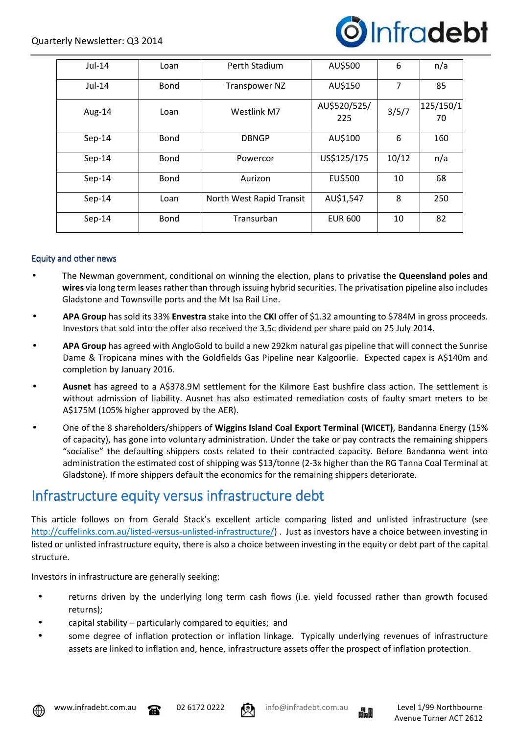

| Jul-14   | Loan        | Perth Stadium            | AU\$500             | 6              | n/a             |
|----------|-------------|--------------------------|---------------------|----------------|-----------------|
| $Jul-14$ | <b>Bond</b> | Transpower NZ            | AU\$150             | $\overline{7}$ | 85              |
| Aug-14   | Loan        | Westlink M7              | AU\$520/525/<br>225 | 3/5/7          | 125/150/1<br>70 |
| $Sep-14$ | <b>Bond</b> | <b>DBNGP</b>             | AU\$100             | 6              | 160             |
| $Sep-14$ | <b>Bond</b> | Powercor                 | US\$125/175         | 10/12          | n/a             |
| $Sep-14$ | <b>Bond</b> | Aurizon                  | EU\$500             | 10             | 68              |
| $Sep-14$ | Loan        | North West Rapid Transit | AU\$1,547           | 8              | 250             |
| $Sep-14$ | <b>Bond</b> | Transurban               | <b>EUR 600</b>      | 10             | 82              |

#### Equity and other news

- The Newman government, conditional on winning the election, plans to privatise the **Queensland poles and wires** via long term leases rather than through issuing hybrid securities. The privatisation pipeline also includes Gladstone and Townsville ports and the Mt Isa Rail Line.
- **APA Group** has sold its 33% **Envestra** stake into the **CKI** offer of \$1.32 amounting to \$784M in gross proceeds. Investors that sold into the offer also received the 3.5c dividend per share paid on 25 July 2014.
- **APA Group** has agreed with AngloGold to build a new 292km natural gas pipeline that will connect the Sunrise Dame & Tropicana mines with the Goldfields Gas Pipeline near Kalgoorlie. Expected capex is A\$140m and completion by January 2016.
- **Ausnet** has agreed to a A\$378.9M settlement for the Kilmore East bushfire class action. The settlement is without admission of liability. Ausnet has also estimated remediation costs of faulty smart meters to be A\$175M (105% higher approved by the AER).
- One of the 8 shareholders/shippers of **Wiggins Island Coal Export Terminal (WICET)**, Bandanna Energy (15% of capacity), has gone into voluntary administration. Under the take or pay contracts the remaining shippers "socialise" the defaulting shippers costs related to their contracted capacity. Before Bandanna went into administration the estimated cost of shipping was \$13/tonne (2-3x higher than the RG Tanna Coal Terminal at Gladstone). If more shippers default the economics for the remaining shippers deteriorate.

### Infrastructure equity versus infrastructure debt

This article follows on from Gerald Stack's excellent article comparing listed and unlisted infrastructure (see http://cuffelinks.com.au/listed-versus-unlisted-infrastructure/) . Just as investors have a choice between investing in listed or unlisted infrastructure equity, there is also a choice between investing in the equity or debt part of the capital structure.

Investors in infrastructure are generally seeking:

- returns driven by the underlying long term cash flows (i.e. yield focussed rather than growth focused returns);
- capital stability particularly compared to equities; and
- some degree of inflation protection or inflation linkage. Typically underlying revenues of infrastructure assets are linked to inflation and, hence, infrastructure assets offer the prospect of inflation protection.





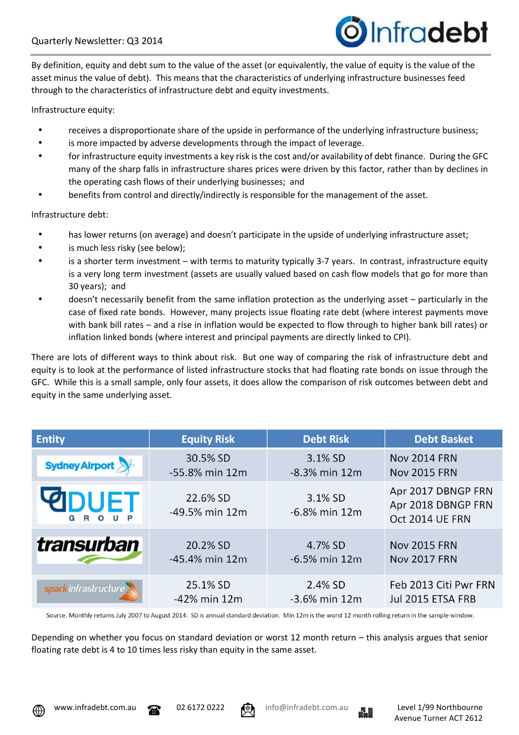

By definition, equity and debt sum to the value of the asset (or equivalently, the value of equity is the value of the asset minus the value of debt). This means that the characteristics of underlying infrastructure businesses feed through to the characteristics of infrastructure debt and equity investments.

Infrastructure equity:

- receives a disproportionate share of the upside in performance of the underlying infrastructure business;
- is more impacted by adverse developments through the impact of leverage.
- for infrastructure equity investments a key risk is the cost and/or availability of debt finance. During the GFC many of the sharp falls in infrastructure shares prices were driven by this factor, rather than by declines in the operating cash flows of their underlying businesses; and
- benefits from control and directly/indirectly is responsible for the management of the asset.

Infrastructure debt:

- has lower returns (on average) and doesn't participate in the upside of underlying infrastructure asset:
- is much less risky (see below);
- is a shorter term investment with terms to maturity typically 3-7 years. In contrast, infrastructure equity is a very long term investment (assets are usually valued based on cash flow models that go for more than 30 years); and
- doesn't necessarily benefit from the same inflation protection as the underlying asset particularly in the case of fixed rate bonds. However, many projects issue floating rate debt (where interest payments move with bank bill rates – and a rise in inflation would be expected to flow through to higher bank bill rates) or inflation linked bonds (where interest and principal payments are directly linked to CPI).

There are lots of different ways to think about risk. But one way of comparing the risk of infrastructure debt and equity is to look at the performance of listed infrastructure stocks that had floating rate bonds on issue through the GFC. While this is a small sample, only four assets, it does allow the comparison of risk outcomes between debt and equity in the same underlying asset.

| <b>Entity</b>          | <b>Equity Risk</b>         | <b>Debt Risk</b>            | <b>Debt Basket</b>                                          |
|------------------------|----------------------------|-----------------------------|-------------------------------------------------------------|
| Sydney Airport         | 30.5% SD                   | 3.1% SD                     | <b>Nov 2014 FRN</b>                                         |
|                        | -55.8% min 12m             | $-8.3%$ min 12m             | <b>Nov 2015 FRN</b>                                         |
| <b>PODUET</b><br>GROUP | 22.6% SD<br>-49.5% min 12m | 3.1% SD<br>$-6.8\%$ min 12m | Apr 2017 DBNGP FRN<br>Apr 2018 DBNGP FRN<br>Oct 2014 UE FRN |
| <b>transurban</b>      | 20.2% SD                   | 4.7% SD                     | <b>Nov 2015 FRN</b>                                         |
|                        | $-45.4\%$ min 12m          | $-6.5%$ min 12m             | <b>Nov 2017 FRN</b>                                         |
| spark infrastructure   | 25.1% SD                   | 2.4% SD                     | Feb 2013 Citi Pwr FRN                                       |
|                        | -42% min 12m               | $-3.6\%$ min 12m            | Jul 2015 ETSA FRB                                           |

Source. Monthly returns July 2007 to August 2014. SD is annual standard deviation. Min 12m is the worst 12 month rolling return in the sample window.

Depending on whether you focus on standard deviation or worst 12 month return – this analysis argues that senior floating rate debt is 4 to 10 times less risky than equity in the same asset.







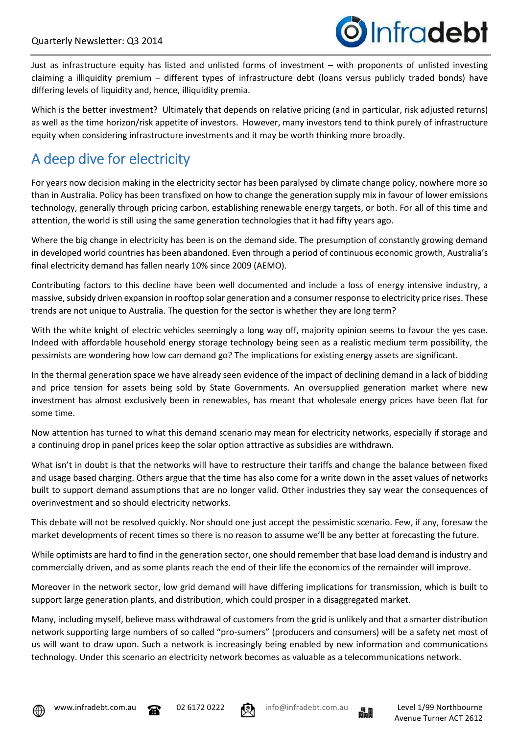

Just as infrastructure equity has listed and unlisted forms of investment – with proponents of unlisted investing claiming a illiquidity premium – different types of infrastructure debt (loans versus publicly traded bonds) have differing levels of liquidity and, hence, illiquidity premia.

Which is the better investment? Ultimately that depends on relative pricing (and in particular, risk adjusted returns) as well as the time horizon/risk appetite of investors. However, many investors tend to think purely of infrastructure equity when considering infrastructure investments and it may be worth thinking more broadly.

# A deep dive for electricity

For years now decision making in the electricity sector has been paralysed by climate change policy, nowhere more so than in Australia. Policy has been transfixed on how to change the generation supply mix in favour of lower emissions technology, generally through pricing carbon, establishing renewable energy targets, or both. For all of this time and attention, the world is still using the same generation technologies that it had fifty years ago.

Where the big change in electricity has been is on the demand side. The presumption of constantly growing demand in developed world countries has been abandoned. Even through a period of continuous economic growth, Australia's final electricity demand has fallen nearly 10% since 2009 (AEMO).

Contributing factors to this decline have been well documented and include a loss of energy intensive industry, a massive, subsidy driven expansion in rooftop solar generation and a consumer response to electricity price rises. These trends are not unique to Australia. The question for the sector is whether they are long term?

With the white knight of electric vehicles seemingly a long way off, majority opinion seems to favour the yes case. Indeed with affordable household energy storage technology being seen as a realistic medium term possibility, the pessimists are wondering how low can demand go? The implications for existing energy assets are significant.

In the thermal generation space we have already seen evidence of the impact of declining demand in a lack of bidding and price tension for assets being sold by State Governments. An oversupplied generation market where new investment has almost exclusively been in renewables, has meant that wholesale energy prices have been flat for some time.

Now attention has turned to what this demand scenario may mean for electricity networks, especially if storage and a continuing drop in panel prices keep the solar option attractive as subsidies are withdrawn.

What isn't in doubt is that the networks will have to restructure their tariffs and change the balance between fixed and usage based charging. Others argue that the time has also come for a write down in the asset values of networks built to support demand assumptions that are no longer valid. Other industries they say wear the consequences of overinvestment and so should electricity networks.

This debate will not be resolved quickly. Nor should one just accept the pessimistic scenario. Few, if any, foresaw the market developments of recent times so there is no reason to assume we'll be any better at forecasting the future.

While optimists are hard to find in the generation sector, one should remember that base load demand is industry and commercially driven, and as some plants reach the end of their life the economics of the remainder will improve.

Moreover in the network sector, low grid demand will have differing implications for transmission, which is built to support large generation plants, and distribution, which could prosper in a disaggregated market.

Many, including myself, believe mass withdrawal of customers from the grid is unlikely and that a smarter distribution network supporting large numbers of so called "pro-sumers" (producers and consumers) will be a safety net most of us will want to draw upon. Such a network is increasingly being enabled by new information and communications technology. Under this scenario an electricity network becomes as valuable as a telecommunications network.